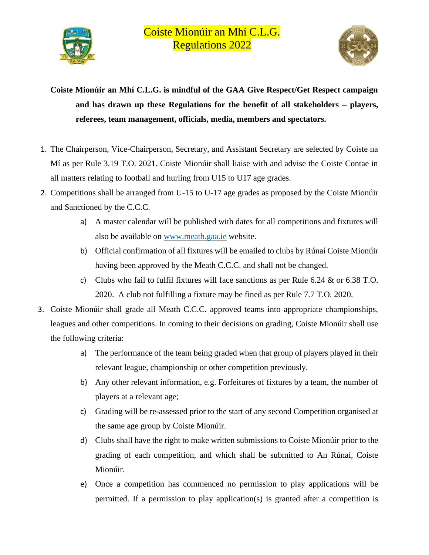

**Coiste Mionúir an Mhí C.L.G. is mindful of the GAA Give Respect/Get Respect campaign and has drawn up these Regulations for the benefit of all stakeholders – players, referees, team management, officials, media, members and spectators.**

- 1. The Chairperson, Vice-Chairperson, Secretary, and Assistant Secretary are selected by Coiste na Mí as per Rule 3.19 T.O. 2021. Coiste Mionúir shall liaise with and advise the Coiste Contae in all matters relating to football and hurling from U15 to U17 age grades.
- 2. Competitions shall be arranged from U-15 to U-17 age grades as proposed by the Coiste Mionúir and Sanctioned by the C.C.C.
	- a) A master calendar will be published with dates for all competitions and fixtures will also be available on www.meath.gaa.ie website.
	- b) Official confirmation of all fixtures will be emailed to clubs by Rúnaí Coiste Mionúir having been approved by the Meath C.C.C. and shall not be changed.
	- c) Clubs who fail to fulfil fixtures will face sanctions as per Rule 6.24 & or 6.38 T.O. 2020. A club not fulfilling a fixture may be fined as per Rule 7.7 T.O. 2020.
- 3. Coiste Mionúir shall grade all Meath C.C.C. approved teams into appropriate championships, leagues and other competitions. In coming to their decisions on grading, Coiste Mionúir shall use the following criteria:
	- a) The performance of the team being graded when that group of players played in their relevant league, championship or other competition previously.
	- b) Any other relevant information, e.g. Forfeitures of fixtures by a team, the number of players at a relevant age;
	- c) Grading will be re-assessed prior to the start of any second Competition organised at the same age group by Coiste Mionúir.
	- d) Clubs shall have the right to make written submissions to Coiste Mionúir prior to the grading of each competition, and which shall be submitted to An Rúnaí, Coiste Mionúir.
	- e) Once a competition has commenced no permission to play applications will be permitted. If a permission to play application(s) is granted after a competition is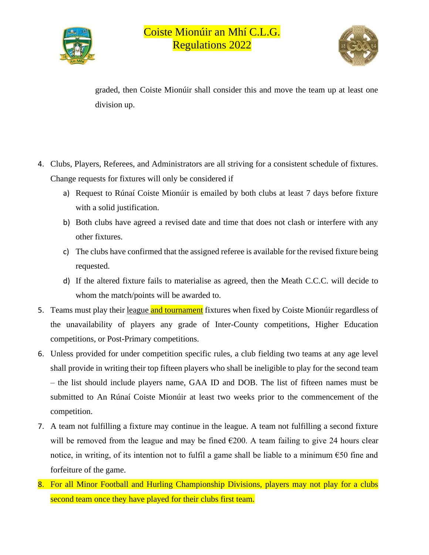



graded, then Coiste Mionúir shall consider this and move the team up at least one division up.

- 4. Clubs, Players, Referees, and Administrators are all striving for a consistent schedule of fixtures. Change requests for fixtures will only be considered if
	- a) Request to Rúnaí Coiste Mionúir is emailed by both clubs at least 7 days before fixture with a solid justification.
	- b) Both clubs have agreed a revised date and time that does not clash or interfere with any other fixtures.
	- c) The clubs have confirmed that the assigned referee is available for the revised fixture being requested.
	- d) If the altered fixture fails to materialise as agreed, then the Meath C.C.C. will decide to whom the match/points will be awarded to.
- 5. Teams must play their league and tournament fixtures when fixed by Coiste Mionúir regardless of the unavailability of players any grade of Inter-County competitions, Higher Education competitions, or Post-Primary competitions.
- 6. Unless provided for under competition specific rules, a club fielding two teams at any age level shall provide in writing their top fifteen players who shall be ineligible to play for the second team – the list should include players name, GAA ID and DOB. The list of fifteen names must be submitted to An Rúnaí Coiste Mionúir at least two weeks prior to the commencement of the competition.
- 7. A team not fulfilling a fixture may continue in the league. A team not fulfilling a second fixture will be removed from the league and may be fined  $\epsilon$ 200. A team failing to give 24 hours clear notice, in writing, of its intention not to fulfil a game shall be liable to a minimum  $\epsilon$ 50 fine and forfeiture of the game.
- 8. For all Minor Football and Hurling Championship Divisions, players may not play for a clubs second team once they have played for their clubs first team.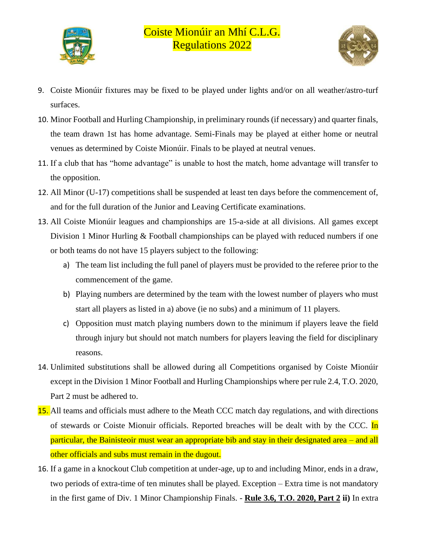



- 9. Coiste Mionúir fixtures may be fixed to be played under lights and/or on all weather/astro-turf surfaces.
- 10. Minor Football and Hurling Championship, in preliminary rounds (if necessary) and quarter finals, the team drawn 1st has home advantage. Semi-Finals may be played at either home or neutral venues as determined by Coiste Mionúir. Finals to be played at neutral venues.
- 11. If a club that has "home advantage" is unable to host the match, home advantage will transfer to the opposition.
- 12. All Minor (U-17) competitions shall be suspended at least ten days before the commencement of, and for the full duration of the Junior and Leaving Certificate examinations.
- 13. All Coiste Mionúir leagues and championships are 15-a-side at all divisions. All games except Division 1 Minor Hurling & Football championships can be played with reduced numbers if one or both teams do not have 15 players subject to the following:
	- a) The team list including the full panel of players must be provided to the referee prior to the commencement of the game.
	- b) Playing numbers are determined by the team with the lowest number of players who must start all players as listed in a) above (ie no subs) and a minimum of 11 players.
	- c) Opposition must match playing numbers down to the minimum if players leave the field through injury but should not match numbers for players leaving the field for disciplinary reasons.
- 14. Unlimited substitutions shall be allowed during all Competitions organised by Coiste Mionúir except in the Division 1 Minor Football and Hurling Championships where per rule 2.4, T.O. 2020, Part 2 must be adhered to.
- **15.** All teams and officials must adhere to the Meath CCC match day regulations, and with directions of stewards or Coiste Mionuir officials. Reported breaches will be dealt with by the CCC. In particular, the Bainisteoir must wear an appropriate bib and stay in their designated area – and all other officials and subs must remain in the dugout.
- 16. If a game in a knockout Club competition at under-age, up to and including Minor, ends in a draw, two periods of extra-time of ten minutes shall be played. Exception – Extra time is not mandatory in the first game of Div. 1 Minor Championship Finals. - **Rule 3.6, T.O. 2020, Part 2 ii)** In extra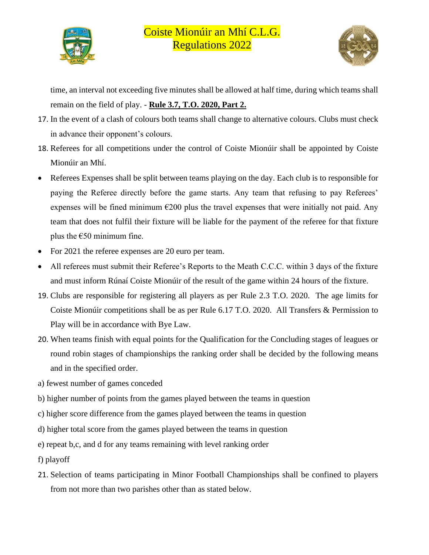



time, an interval not exceeding five minutes shall be allowed at half time, during which teams shall remain on the field of play. - **Rule 3.7, T.O. 2020, Part 2.**

- 17. In the event of a clash of colours both teams shall change to alternative colours. Clubs must check in advance their opponent's colours.
- 18. Referees for all competitions under the control of Coiste Mionúir shall be appointed by Coiste Mionúir an Mhí.
- Referees Expenses shall be split between teams playing on the day. Each club is to responsible for paying the Referee directly before the game starts. Any team that refusing to pay Referees' expenses will be fined minimum  $\epsilon$ 200 plus the travel expenses that were initially not paid. Any team that does not fulfil their fixture will be liable for the payment of the referee for that fixture plus the  $\epsilon$ 50 minimum fine.
- For 2021 the referee expenses are 20 euro per team.
- All referees must submit their Referee's Reports to the Meath C.C.C. within 3 days of the fixture and must inform Rúnaí Coiste Mionúir of the result of the game within 24 hours of the fixture.
- 19. Clubs are responsible for registering all players as per Rule 2.3 T.O. 2020. The age limits for Coiste Mionúir competitions shall be as per Rule 6.17 T.O. 2020. All Transfers & Permission to Play will be in accordance with Bye Law.
- 20. When teams finish with equal points for the Qualification for the Concluding stages of leagues or round robin stages of championships the ranking order shall be decided by the following means and in the specified order.
- a) fewest number of games conceded
- b) higher number of points from the games played between the teams in question
- c) higher score difference from the games played between the teams in question
- d) higher total score from the games played between the teams in question
- e) repeat b,c, and d for any teams remaining with level ranking order
- f) playoff
- 21. Selection of teams participating in Minor Football Championships shall be confined to players from not more than two parishes other than as stated below.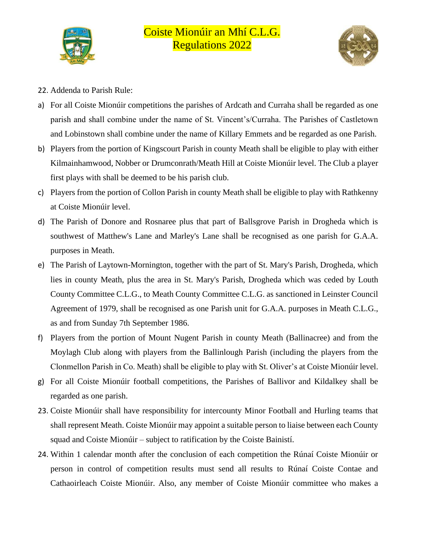



- 22. Addenda to Parish Rule:
- a) For all Coiste Mionúir competitions the parishes of Ardcath and Curraha shall be regarded as one parish and shall combine under the name of St. Vincent's/Curraha. The Parishes of Castletown and Lobinstown shall combine under the name of Killary Emmets and be regarded as one Parish.
- b) Players from the portion of Kingscourt Parish in county Meath shall be eligible to play with either Kilmainhamwood, Nobber or Drumconrath/Meath Hill at Coiste Mionúir level. The Club a player first plays with shall be deemed to be his parish club.
- c) Players from the portion of Collon Parish in county Meath shall be eligible to play with Rathkenny at Coiste Mionúir level.
- d) The Parish of Donore and Rosnaree plus that part of Ballsgrove Parish in Drogheda which is southwest of Matthew's Lane and Marley's Lane shall be recognised as one parish for G.A.A. purposes in Meath.
- e) The Parish of Laytown-Mornington, together with the part of St. Mary's Parish, Drogheda, which lies in county Meath, plus the area in St. Mary's Parish, Drogheda which was ceded by Louth County Committee C.L.G., to Meath County Committee C.L.G. as sanctioned in Leinster Council Agreement of 1979, shall be recognised as one Parish unit for G.A.A. purposes in Meath C.L.G., as and from Sunday 7th September 1986.
- f) Players from the portion of Mount Nugent Parish in county Meath (Ballinacree) and from the Moylagh Club along with players from the Ballinlough Parish (including the players from the Clonmellon Parish in Co. Meath) shall be eligible to play with St. Oliver's at Coiste Mionúir level.
- g) For all Coiste Mionúir football competitions, the Parishes of Ballivor and Kildalkey shall be regarded as one parish.
- 23. Coiste Mionúir shall have responsibility for intercounty Minor Football and Hurling teams that shall represent Meath. Coiste Mionúir may appoint a suitable person to liaise between each County squad and Coiste Mionúir – subject to ratification by the Coiste Bainistí.
- 24. Within 1 calendar month after the conclusion of each competition the Rúnaí Coiste Mionúir or person in control of competition results must send all results to Rúnaí Coiste Contae and Cathaoirleach Coiste Mionúir. Also, any member of Coiste Mionúir committee who makes a